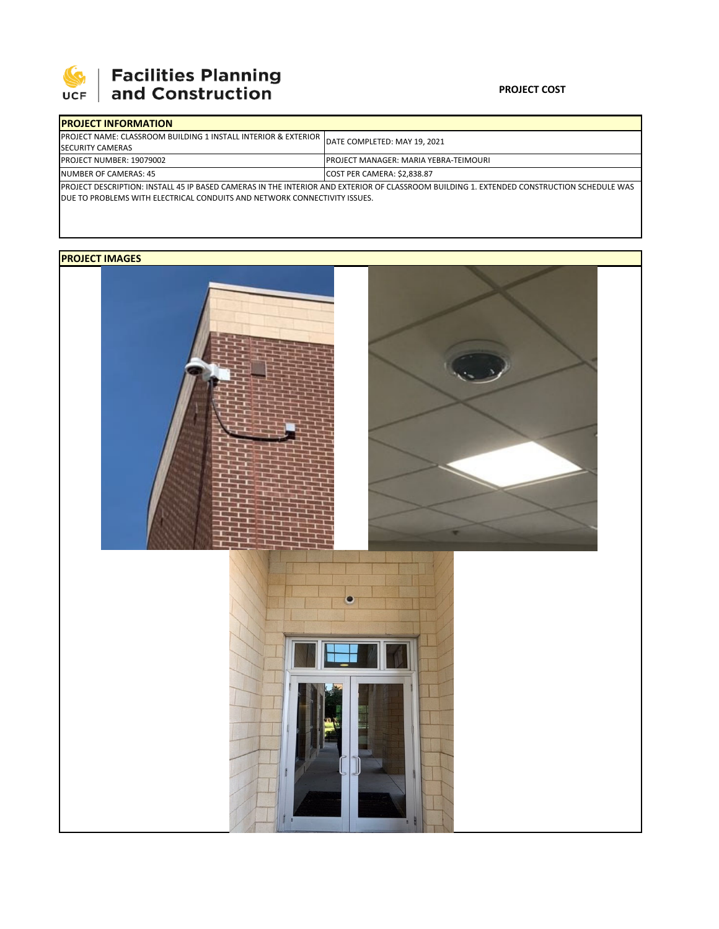

## **SEPTE AND Facilities Planning**<br>UCF and Construction

| <b>IPROJECT INFORMATION</b>                                                                                                                |                                               |  |  |  |
|--------------------------------------------------------------------------------------------------------------------------------------------|-----------------------------------------------|--|--|--|
| <b>IPROJECT NAME: CLASSROOM BUILDING 1 INSTALL INTERIOR &amp; EXTERIOR</b><br><b>SECURITY CAMERAS</b>                                      | DATE COMPLETED: MAY 19, 2021                  |  |  |  |
| <b>PROJECT NUMBER: 19079002</b>                                                                                                            | <b>IPROJECT MANAGER: MARIA YEBRA-TEIMOURI</b> |  |  |  |
| NUMBER OF CAMERAS: 45                                                                                                                      | COST PER CAMERA: \$2.838.87                   |  |  |  |
| IPROJECT DESCRIPTION: INSTALL 45 IP BASED CAMERAS IN THE INTERIOR AND EXTERIOR OF CLASSROOM BUILDING 1. EXTENDED CONSTRUCTION SCHEDULE WAS |                                               |  |  |  |
| <b>IDUE TO PROBLEMS WITH ELECTRICAL CONDUITS AND NETWORK CONNECTIVITY ISSUES.</b>                                                          |                                               |  |  |  |

## **PROJECT IMAGES**